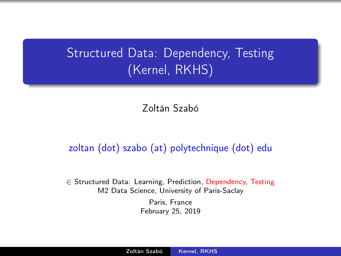## <span id="page-0-0"></span>**Structured Data: Dependency, Testing** (Kernel, RKHS)

Zoltán Szabó

#### zoltan (dot) szabo (at) polytechnique (dot) edu

∈ Structured Data: Learning, Prediction, Dependency, Testing M2 Data Science, University of Paris-Saclay Paris, France

February 25, 2019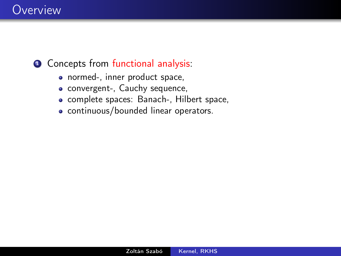## Overview

### **1** Concepts from functional analysis:

- normed-, inner product space,
- convergent-, Cauchy sequence,
- complete spaces: Banach-, Hilbert space,
- continuous/bounded linear operators.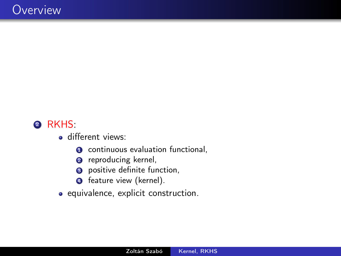### 2 RKHS:

- **o** different views:
	- **O** continuous evaluation functional,
	- **2** reproducing kernel,
	- **3** positive definite function,
	- **4** feature view (kernel).
- equivalence, explicit construction.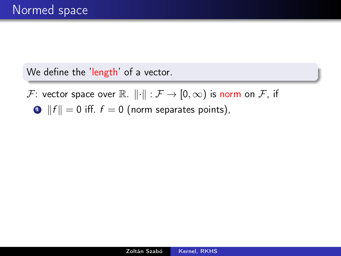F: vector space over  $\mathbb{R}$ .  $\|\cdot\| : \mathcal{F} \to [0,\infty)$  is norm on  $\mathcal{F}$ , if

 $\bullet$  ||f|| = 0 iff.  $f = 0$  (norm separates points),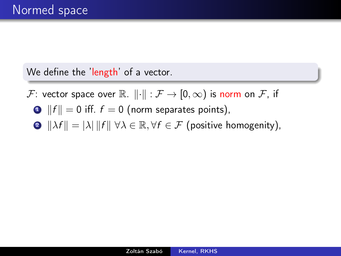F: vector space over  $\mathbb{R}$ .  $\|\cdot\| : \mathcal{F} \to [0,\infty)$  is norm on  $\mathcal{F}$ , if

- $\bullet$  ||f|| = 0 iff.  $f = 0$  (norm separates points),
- **2**  $\|\lambda f\| = |\lambda| \|f\| \forall \lambda \in \mathbb{R}, \forall f \in \mathcal{F}$  (positive homogenity),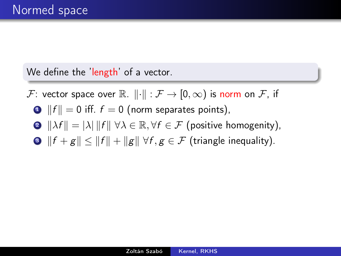- F: vector space over  $\mathbb{R}$ .  $\|\cdot\| : \mathcal{F} \to [0,\infty)$  is norm on  $\mathcal{F}$ , if
	- $\bullet$  ||f|| = 0 iff.  $f = 0$  (norm separates points),
	- **2**  $\|\lambda f\| = |\lambda| \|f\| \forall \lambda \in \mathbb{R}, \forall f \in \mathcal{F}$  (positive homogenity),
	- **3**  $||f + g|| < ||f|| + ||g|| \forall f, g \in \mathcal{F}$  (triangle inequality).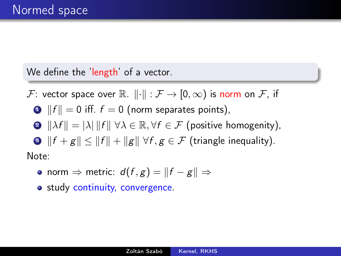F: vector space over  $\mathbb{R}$ .  $\|\cdot\| : \mathcal{F} \to [0,\infty)$  is norm on  $\mathcal{F}$ , if

$$
\bullet \t\|f\|=0 \t\text{ iff. } f=0 \t\text{(norm separates points)},
$$

$$
\bullet \ \|\lambda f\| = |\lambda| \, \|f\| \, \, \forall \lambda \in \mathbb{R}, \forall f \in \mathcal{F} \text{ (positive homogeneity)},
$$

 $\bullet$   $||f + g|| \leq ||f|| + ||g|| \; \forall f, g \in \mathcal{F}$  (triangle inequality).

Note:

- norm  $\Rightarrow$  metric:  $d(f, g) = ||f g|| \Rightarrow$
- study continuity, convergence.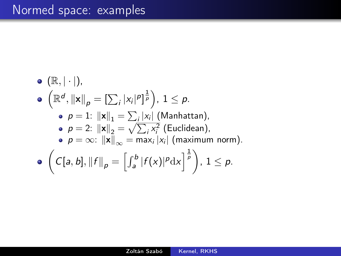\n- \n
$$
(\mathbb{R}, |\cdot|),
$$
\n
\n- \n $(\mathbb{R}^d, \|\mathbf{x}\|_p = [\sum_i |x_i|^p]^{\frac{1}{p}}), 1 \leq p.$ \n
\n- \n $p = 1: \|\mathbf{x}\|_1 = \sum_i |x_i| \text{ (Manhatan)},$ \n
\n- \n $p = 2: \|\mathbf{x}\|_2 = \sqrt{\sum_i x_i^2}$  (Euclidean),\n
\n- \n $p = \infty: \|\mathbf{x}\|_{\infty} = \max_i |x_i| \text{ (maximum norm)}.$ \n
\n- \n $\left(C[a, b], \|f\|_p = \left[\int_a^b |f(x)|^p \, dx\right]^{\frac{1}{p}}\right), 1 \leq p.$ \n
\n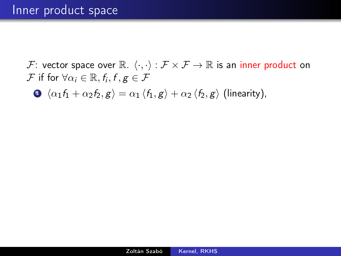$\mathbf{0} \langle \alpha_1 f_1 + \alpha_2 f_2, g \rangle = \alpha_1 \langle f_1, g \rangle + \alpha_2 \langle f_2, g \rangle$  (linearity),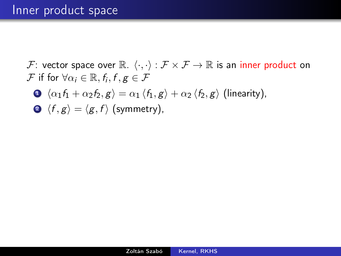$$
\bullet \ \langle \alpha_1 f_1 + \alpha_2 f_2, g \rangle = \alpha_1 \langle f_1, g \rangle + \alpha_2 \langle f_2, g \rangle \text{ (linearity)},
$$

$$
\bullet \ \langle f, g \rangle = \langle g, f \rangle \ \text{(symmetry)},
$$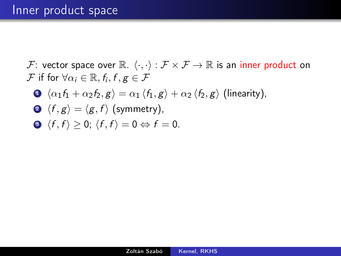$$
\bullet \ \langle \alpha_1 f_1 + \alpha_2 f_2, g \rangle = \alpha_1 \langle f_1, g \rangle + \alpha_2 \langle f_2, g \rangle \text{ (linearity)},
$$

$$
\bullet \ \langle f, g \rangle = \langle g, f \rangle \ \text{(symmetry)},
$$

$$
\bullet \ \langle f, f \rangle \geq 0; \ \langle f, f \rangle = 0 \Leftrightarrow f = 0.
$$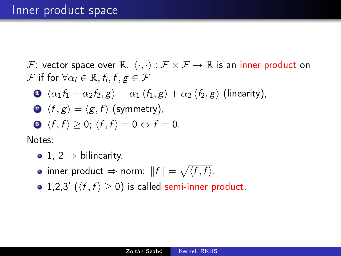$$
\bullet \ \langle \alpha_1 f_1 + \alpha_2 f_2, g \rangle = \alpha_1 \langle f_1, g \rangle + \alpha_2 \langle f_2, g \rangle \text{ (linearity)},
$$

• 
$$
\langle f, g \rangle = \langle g, f \rangle
$$
 (symmetry),

$$
\bullet \ \langle f,f\rangle\geq 0;\ \langle f,f\rangle=0\Leftrightarrow f=0.
$$

Notes:

- 1, 2  $\Rightarrow$  bilinearity.
- inner product  $\Rightarrow$  norm:  $||f|| = \sqrt{\langle f, f \rangle}$ .
- 1,2,3' ( $\langle f, f \rangle \ge 0$ ) is called semi-inner product.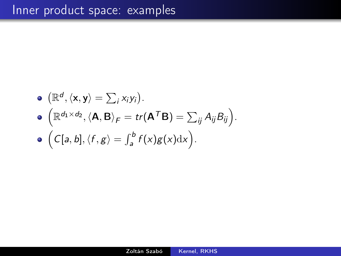\n- \n
$$
(\mathbb{R}^d, \langle \mathbf{x}, \mathbf{y} \rangle) = \sum_i x_i y_i.
$$
\n
\n- \n
$$
(\mathbb{R}^{d_1 \times d_2}, \langle \mathbf{A}, \mathbf{B} \rangle_F) = tr(\mathbf{A}^T \mathbf{B}) = \sum_{ij} A_{ij} B_{ij}.
$$
\n
\n- \n
$$
(\mathsf{C}[a, b], \langle f, g \rangle) = \int_a^b f(x) g(x) \, dx.
$$
\n
\n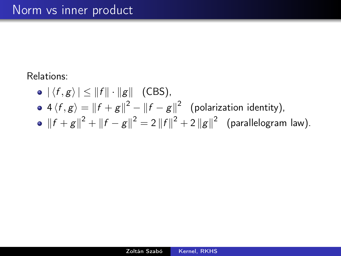### Relations:

- $\bullet$   $|\langle f, g \rangle| \leq ||f|| \cdot ||g||$  (CBS),
- $4\langle f,g\rangle = \|f+g\|^2 \|f-g\|^2$  (polarization identity),
- $||f + g||^2 + ||f g||^2 = 2 ||f||^2 + 2 ||g||^2$  (parallelogram law).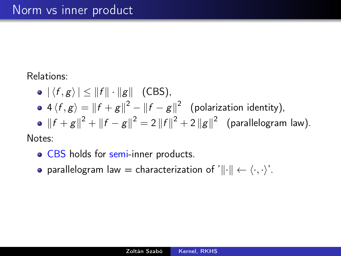### Relations:

 $\bullet$   $|\langle f, g \rangle| \leq ||f|| \cdot ||g||$  (CBS),  $4\langle f,g\rangle = \|f+g\|^2 - \|f-g\|^2$  (polarization identity),  $||f + g||^2 + ||f - g||^2 = 2 ||f||^2 + 2 ||g||^2$  (parallelogram law).

Notes:

- CBS holds for semi-inner products.
- parallelogram law = characterization of ' $\|\cdot\| \leftarrow \langle \cdot, \cdot \rangle'$ .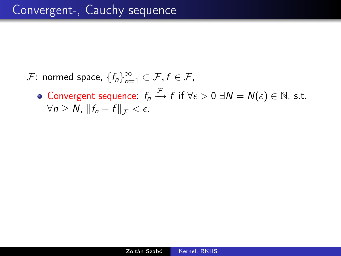- $\mathcal{F}$ : normed space,  $\{f_n\}_{n=1}^{\infty} \subset \mathcal{F}, f \in \mathcal{F}$ ,
	- Convergent sequence:  $f_n \xrightarrow{\mathcal{F}} f$  if  $\forall \epsilon > 0 \ \exists N = N(\epsilon) \in \mathbb{N}$ , s.t.  $\forall n \geq N, \|f_n - f\|_{\mathcal{F}} < \epsilon.$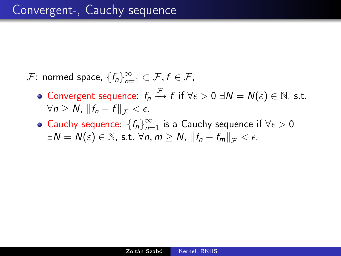- $\mathcal{F}$ : normed space,  $\{f_n\}_{n=1}^{\infty} \subset \mathcal{F}, f \in \mathcal{F}$ ,
	- Convergent sequence:  $f_n \xrightarrow{\mathcal{F}} f$  if  $\forall \epsilon > 0 \ \exists N = N(\epsilon) \in \mathbb{N}$ , s.t.  $\forall n \geq N, \|f_n - f\|_{\mathcal{F}} < \epsilon.$
	- Cauchy sequence:  ${f_n}_{n=0}^{\infty}$  $\sum_{n=1}^{\infty}$  is a Cauchy sequence if  $\forall \epsilon > 0$  $\exists N = N(\varepsilon) \in \mathbb{N}$ , s.t.  $\forall n, m \ge N$ ,  $||f_n - f_m||_{\mathcal{F}} < \epsilon$ .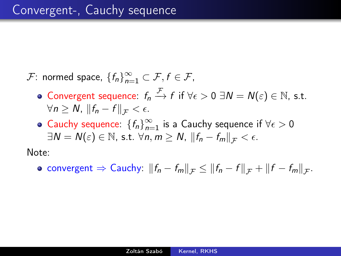- $\mathcal{F}$ : normed space,  $\{f_n\}_{n=1}^{\infty} \subset \mathcal{F}, f \in \mathcal{F}$ ,
	- Convergent sequence:  $f_n \xrightarrow{\mathcal{F}} f$  if  $\forall \epsilon > 0 \ \exists N = N(\epsilon) \in \mathbb{N}$ , s.t.  $\forall n \geq N, \|f_n - f\|_{\mathcal{F}} < \epsilon.$
	- Cauchy sequence:  ${f_n}_{n=0}^{\infty}$  $\sum_{n=1}^{\infty}$  is a Cauchy sequence if  $\forall \epsilon > 0$  $\exists N = N(\varepsilon) \in \mathbb{N}$ , s.t.  $\forall n, m \ge N$ ,  $||f_n - f_m||_{\mathcal{F}} < \epsilon$ .

Note:

convergent  $\Rightarrow$  Cauchy:  $||f_n - f_m||_{\mathcal{F}} \le ||f_n - f||_{\mathcal{F}} + ||f - f_m||_{\mathcal{F}}$ .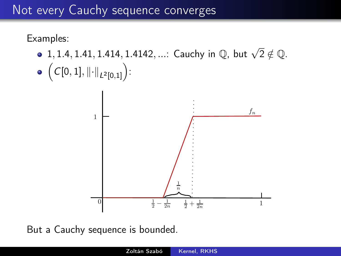## Not every Cauchy sequence converges

### Examples:

- 1, 1.4, 1.41, 1.414, 1.4142, ...: Cauchy in  $\mathbb{Q}$ , but  $\sqrt{2} \notin \mathbb{Q}$ .
- $\Bigl(C[0,1],\left\|\cdot\right\|_{L^2[0,1]}\Bigr)$ :



But a Cauchy sequence is bounded.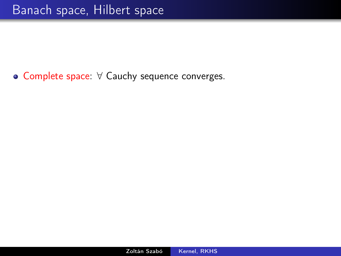Complete space: ∀ Cauchy sequence converges.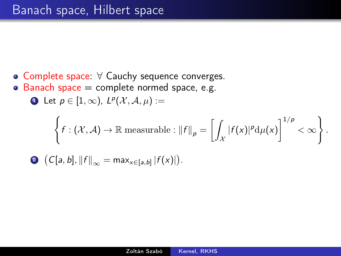- Complete space: ∀ Cauchy sequence converges.
- Banach space  $=$  complete normed space, e.g.  $\bullet$

Let 
$$
p \in [1, \infty)
$$
,  $L^p(\mathcal{X}, \mathcal{A}, \mu) :=$ 

$$
\left\{f:(\mathcal{X},\mathcal{A})\to\mathbb{R} \text{ measurable}: \|f\|_p=\left[\int_{\mathcal{X}}|f(x)|^p\mathrm{d}\mu(x)\right]^{1/p}<\infty\right\}.
$$

$$
\bullet \ \left(C[a, b], \|f\|_{\infty} = \max_{x \in [a, b]} |f(x)|\right).
$$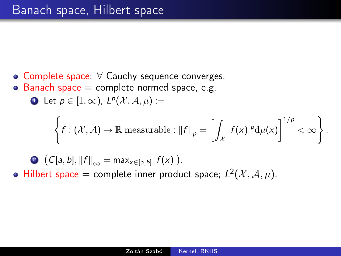- Complete space: ∀ Cauchy sequence converges.
- Banach space  $=$  complete normed space, e.g.  $\bullet$

Let 
$$
p \in [1, \infty)
$$
,  $L^p(\mathcal{X}, \mathcal{A}, \mu) :=$ 

≏

$$
\left\{f:(\mathcal{X},\mathcal{A})\to\mathbb{R} \text{ measurable}: \|f\|_p=\left[\int_{\mathcal{X}}|f(x)|^p\mathrm{d}\mu(x)\right]^{1/p}<\infty\right\}.
$$

**Q** 
$$
(C[a, b], ||f||_{\infty} = \max_{x \in [a, b]} |f(x)|)
$$
.  
Hilbert space = complete inner product space;  $L^2(\mathcal{X}, \mathcal{A}, \mu)$ .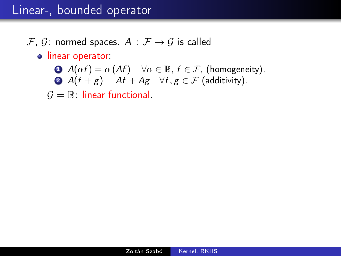## Linear-, bounded operator

### $\mathcal{F}, \mathcal{G}$ : normed spaces.  $A : \mathcal{F} \rightarrow \mathcal{G}$  is called

#### **·** linear operator:

\n- **O** 
$$
A(\alpha f) = \alpha (Af)
$$
  $\forall \alpha \in \mathbb{R}, f \in \mathcal{F}$ , (homogeneity),
\n- **O**  $A(f + g) = Af + Ag$   $\forall f, g \in \mathcal{F}$  (additivity).
\n

 $G = \mathbb{R}$ : linear functional.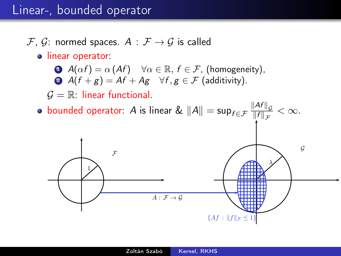## Linear-, bounded operator

### $\mathcal{F}, \mathcal{G}$ : normed spaces.  $A : \mathcal{F} \rightarrow \mathcal{G}$  is called

#### o linear operator:

\n- **Q** 
$$
A(\alpha f) = \alpha (Af)
$$
  $\forall \alpha \in \mathbb{R}, f \in \mathcal{F}$ , (homogeneity),
\n- **Q**  $A(f + g) = Af + Ag$   $\forall f, g \in \mathcal{F}$  (additivity).
\n

 $G = \mathbb{R}$ : linear functional.

bounded operator:  $A$  is linear  $\&\ \|A\|=\sup_{f\in\mathcal{F}}\frac{\|Af\|_{\mathcal{G}}}{\|f\|_{\mathcal{F}}}$  $\frac{\|A^r\|_{\mathcal{G}}}{\|f\|_{\mathcal{F}}} < \infty.$ 

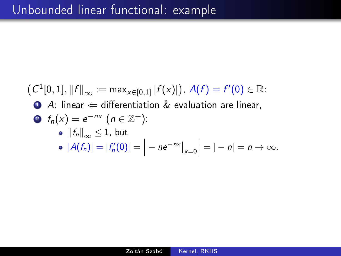\n- $$
(C^1[0,1], ||f||_{\infty} := \max_{x \in [0,1]} |f(x)|), A(f) = f'(0) \in \mathbb{R}
$$
\n- **4.** linear  $\Leftarrow$  differentiation & evaluation are linear,
\n- **6.**  $f_n(x) = e^{-nx}$  ( $n \in \mathbb{Z}^+$ ):
\n- $||f_n||_{\infty} \leq 1$ , but
\n- $|A(f_n)| = |f'_n(0)| = |-ne^{-nx}|_{x=0}| = |-n| = n \to \infty$ .
\n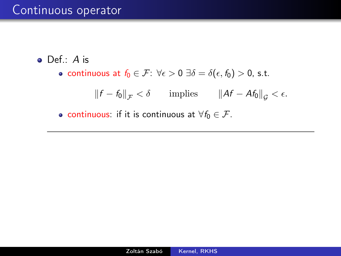## Continuous operator

- Def.: A is
	- continuous at  $f_0 \in \mathcal{F}$ :  $\forall \epsilon > 0$   $\exists \delta = \delta(\epsilon, f_0) > 0$ , s.t.

 $||f - f_0||_{\mathcal{F}} < \delta$  implies  $||Af - Af_0||_{\mathcal{G}} < \epsilon$ .

• continuous: if it is continuous at  $\forall f_0 \in \mathcal{F}$ .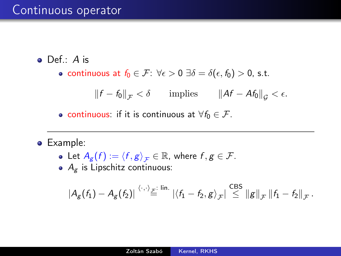### Continuous operator

- Def.: A is
	- continuous at  $f_0 \in \mathcal{F}$ :  $\forall \epsilon > 0$   $\exists \delta = \delta(\epsilon, f_0) > 0$ , s.t.

 $||f - f_0||_{\mathcal{F}} < \delta$  implies  $||Af - Af_0||_{\mathcal{G}} < \epsilon$ .

• continuous: if it is continuous at  $\forall f_0 \in \mathcal{F}$ .

Example:

• Let 
$$
A_g(f) := \langle f, g \rangle_{\mathcal{F}} \in \mathbb{R}
$$
, where  $f, g \in \mathcal{F}$ .

 $A_g$  is Lipschitz continuous:

$$
|A_g(f_1)-A_g(f_2)| \stackrel{\langle \cdot,\cdot\rangle_{\mathcal{F}}: \text{ lin.}}{\equiv} |\langle f_1-f_2,g\rangle_{\mathcal{F}}| \stackrel{\text{CBS}}{\leq} ||g||_{\mathcal{F}} ||f_1-f_2||_{\mathcal{F}}.
$$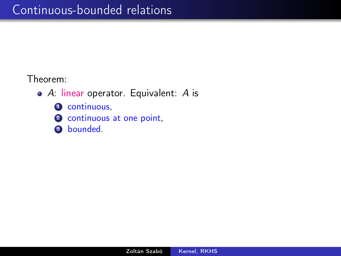Theorem:

- A: linear operator. Equivalent: A is
	- **4** continuous,
	- 2 continuous at one point,
	- **3** bounded.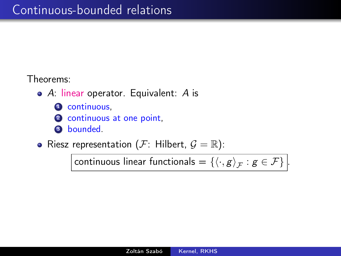### Theorems:

- A: linear operator. Equivalent: A is
	- **4** continuous,
	- 2 continuous at one point.
	- **3** bounded.
- Riesz representation ( $\mathcal{F}$ : Hilbert,  $\mathcal{G} = \mathbb{R}$ ):

continuous linear functionals  $=\left\{\left\langle \cdot,g\right\rangle _{\mathcal{F}}:g\in\mathcal{F}\right\}\bigg|$ .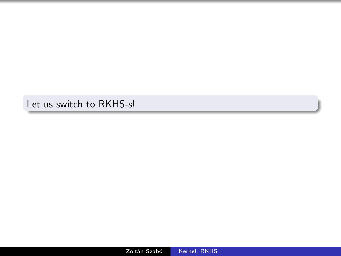Let us switch to RKHS-s!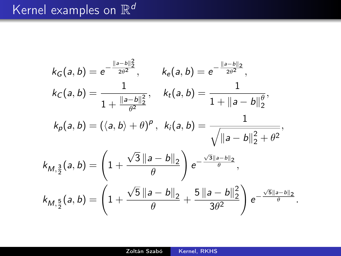# Kernel examples on  $\mathbb{R}^d$

$$
k_G(a, b) = e^{-\frac{||a-b||_2^2}{2\theta^2}}, \t k_e(a, b) = e^{-\frac{||a-b||_2}{2\theta^2}},
$$
  
\n
$$
k_C(a, b) = \frac{1}{1 + \frac{||a-b||_2^2}{\theta^2}}, \t k_t(a, b) = \frac{1}{1 + ||a-b||_2^{\theta}},
$$
  
\n
$$
k_p(a, b) = (\langle a, b \rangle + \theta)^p, \t k_i(a, b) = \frac{1}{\sqrt{||a-b||_2^2 + \theta^2}},
$$
  
\n
$$
k_{M, \frac{3}{2}}(a, b) = \left(1 + \frac{\sqrt{3} ||a-b||_2}{\theta}\right) e^{-\frac{\sqrt{3} ||a-b||_2}{\theta}},
$$
  
\n
$$
k_{M, \frac{5}{2}}(a, b) = \left(1 + \frac{\sqrt{5} ||a-b||_2}{\theta} + \frac{5 ||a-b||_2^2}{3\theta^2}\right) e^{-\frac{\sqrt{5} ||a-b||_2}{\theta}}.
$$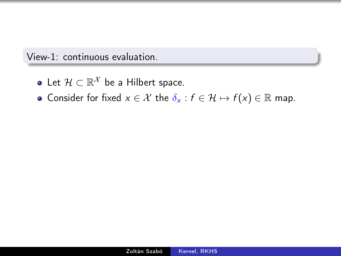View-1: continuous evaluation.

- Let  $\mathcal{H} \subset \mathbb{R}^{\mathcal{X}}$  be a Hilbert space.
- Consider for fixed  $x \in \mathcal{X}$  the  $\delta_x : f \in \mathcal{H} \mapsto f(x) \in \mathbb{R}$  map.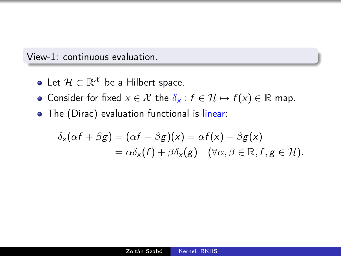#### View-1: continuous evaluation.

- Let  $\mathcal{H} \subset \mathbb{R}^{\mathcal{X}}$  be a Hilbert space.
- Consider for fixed  $x \in \mathcal{X}$  the  $\delta_x : f \in \mathcal{H} \mapsto f(x) \in \mathbb{R}$  map.
- The (Dirac) evaluation functional is linear:

$$
\delta_{x}(\alpha f + \beta g) = (\alpha f + \beta g)(x) = \alpha f(x) + \beta g(x)
$$
  
=  $\alpha \delta_{x}(f) + \beta \delta_{x}(g) \quad (\forall \alpha, \beta \in \mathbb{R}, f, g \in \mathcal{H}).$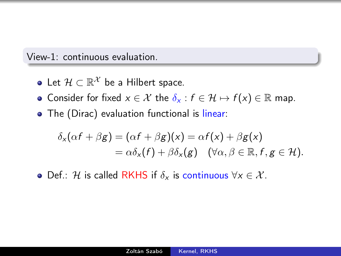#### View-1: continuous evaluation.

- Let  $\mathcal{H} \subset \mathbb{R}^{\mathcal{X}}$  be a Hilbert space.
- Consider for fixed  $x \in \mathcal{X}$  the  $\delta_x : f \in \mathcal{H} \mapsto f(x) \in \mathbb{R}$  map.
- The (Dirac) evaluation functional is linear:

$$
\delta_{x}(\alpha f + \beta g) = (\alpha f + \beta g)(x) = \alpha f(x) + \beta g(x)
$$
  
=  $\alpha \delta_{x}(f) + \beta \delta_{x}(g) \quad (\forall \alpha, \beta \in \mathbb{R}, f, g \in \mathcal{H}).$ 

• Def.: H is called RKHS if  $\delta_x$  is continuous  $\forall x \in \mathcal{X}$ .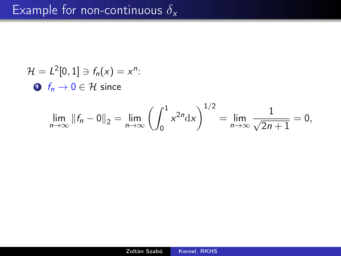$$
\mathcal{H} = L^2[0,1] \ni f_n(x) = x^n:
$$
  
•  $f_n \to 0 \in \mathcal{H}$  since

$$
\lim_{n \to \infty} ||f_n - 0||_2 = \lim_{n \to \infty} \left( \int_0^1 x^{2n} dx \right)^{1/2} = \lim_{n \to \infty} \frac{1}{\sqrt{2n+1}} = 0,
$$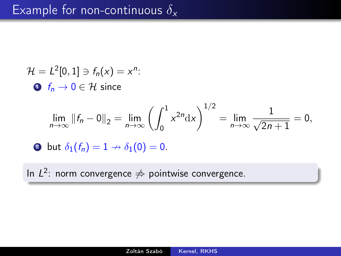$$
\mathcal{H} = L^2[0, 1] \ni f_n(x) = x^n:
$$
  
\n•  $f_n \to 0 \in \mathcal{H}$  since  
\n
$$
\lim_{n \to \infty} ||f_n - 0||_2 = \lim_{n \to \infty} \left( \int_0^1 x^{2n} dx \right)^{1/2} = \lim_{n \to \infty} \frac{1}{\sqrt{2n+1}} = 0,
$$

**3** but  $\delta_1(f_n) = 1 \rightarrow \delta_1(0) = 0$ .

In  $L^2$ : norm convergence  $\neq$  pointwise convergence.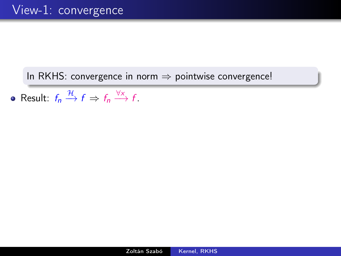### In RKHS: convergence in norm  $\Rightarrow$  pointwise convergence!

Result:  $f_n \xrightarrow{\mathcal{H}} f \Rightarrow f_n \xrightarrow{\forall x} f$ .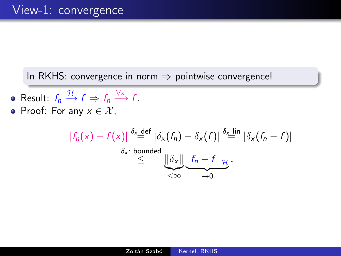### In RKHS: convergence in norm  $\Rightarrow$  pointwise convergence!

- Result:  $f_n \xrightarrow{\mathcal{H}} f \Rightarrow f_n \xrightarrow{\forall x} f$ .
- Proof: For any  $x \in \mathcal{X}$ ,

$$
|f_n(x) - f(x)| \stackrel{\delta_x \text{ def}}{=} |\delta_x(f_n) - \delta_x(f)| \stackrel{\delta_x \text{ lin}}{=} |\delta_x(f_n - f)|
$$
  
\$\leq\$ 
$$
\underbrace{||\delta_x|| \underbrace{||f_n - f||_{\mathcal{H}}}{=}}_{<\infty}.
$$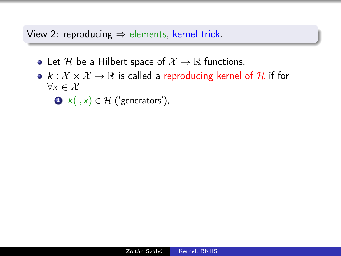- Let H be a Hilbert space of  $\mathcal{X} \to \mathbb{R}$  functions.
- $k : \mathcal{X} \times \mathcal{X} \rightarrow \mathbb{R}$  is called a reproducing kernel of H if for  $\forall x \in \mathcal{X}$

 $\bigodot$   $k(\cdot, x) \in \mathcal{H}$  ('generators'),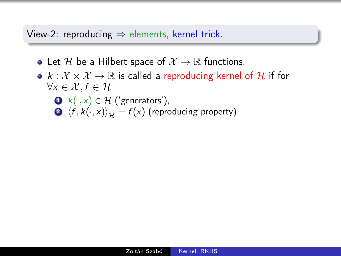- Let H be a Hilbert space of  $\mathcal{X} \to \mathbb{R}$  functions.
- $k : \mathcal{X} \times \mathcal{X} \to \mathbb{R}$  is called a reproducing kernel of H if for  $\forall x \in \mathcal{X}, f \in \mathcal{H}$ 
	- $\bigodot$  k(·, x) ∈ H ('generators'),  $\langle f, k(\cdot, x) \rangle_{\mathcal{H}} = f(x)$  (reproducing property).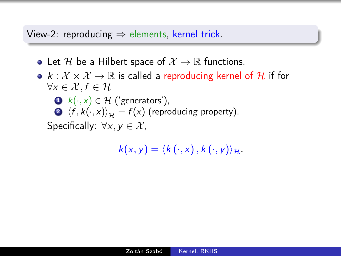- Let H be a Hilbert space of  $\mathcal{X} \to \mathbb{R}$  functions.
- $k : \mathcal{X} \times \mathcal{X} \to \mathbb{R}$  is called a reproducing kernel of H if for  $\forall x \in \mathcal{X} \ldotp f \in \mathcal{H}$ 
	- $\bigodot$  k(·, x) ∈ H ('generators'),  $\langle f, k(\cdot, x) \rangle_{\mathcal{H}} = f(x)$  (reproducing property).

Specifically:  $\forall x, y \in \mathcal{X}$ ,

$$
k(x,y)=\langle k(\cdot,x),k(\cdot,y)\rangle_{\mathcal{H}}.
$$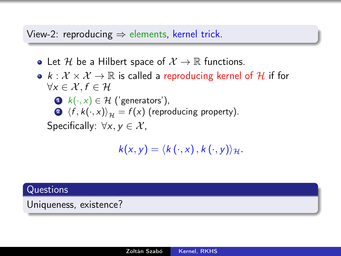- Let H be a Hilbert space of  $\mathcal{X} \to \mathbb{R}$  functions.
- $k : \mathcal{X} \times \mathcal{X} \to \mathbb{R}$  is called a reproducing kernel of H if for  $\forall x \in \mathcal{X} \ldotp f \in \mathcal{H}$  $\bigodot$  k(·, x) ∈ H ('generators'),  $\langle f, k(\cdot, x) \rangle_{\mathcal{H}} = f(x)$  (reproducing property). Specifically:  $\forall x, y \in \mathcal{X}$ ,

$$
k(x,y)=\langle k(\cdot,x),k(\cdot,y)\rangle_{\mathcal{H}}.
$$

#### **Questions**

Uniqueness, existence?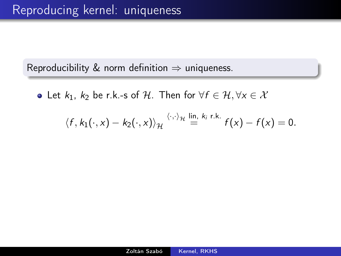Reproducibility & norm definition  $\Rightarrow$  uniqueness.

• Let  $k_1$ ,  $k_2$  be r.k.-s of H. Then for  $\forall f \in \mathcal{H}, \forall x \in \mathcal{X}$ 

$$
\langle f, k_1(\cdot, x) - k_2(\cdot, x) \rangle_{\mathcal{H}} \stackrel{\langle \cdot, \cdot \rangle_{\mathcal{H}}}{=} \stackrel{\text{lin, } k_i \text{ r.k.}}{=} f(x) - f(x) = 0.
$$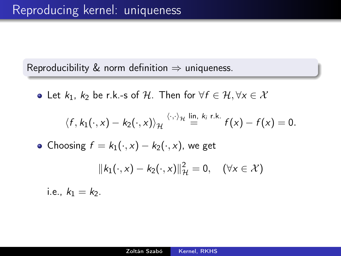Reproducibility & norm definition  $\Rightarrow$  uniqueness.

• Let  $k_1$ ,  $k_2$  be r.k.-s of H. Then for  $\forall f \in \mathcal{H}, \forall x \in \mathcal{X}$ 

$$
\langle f, k_1(\cdot, x) - k_2(\cdot, x) \rangle_{\mathcal{H}} \stackrel{\langle \cdot, \cdot \rangle_{\mathcal{H}}}{=} \stackrel{\text{lin, } k_i \text{ r.k.}}{=} f(x) - f(x) = 0.
$$

• Choosing  $f = k_1(\cdot, x) - k_2(\cdot, x)$ , we get

$$
||k_1(\cdot,x)-k_2(\cdot,x)||_{\mathcal{H}}^2=0, \quad (\forall x \in \mathcal{X})
$$

i.e.,  $k_1 = k_2$ .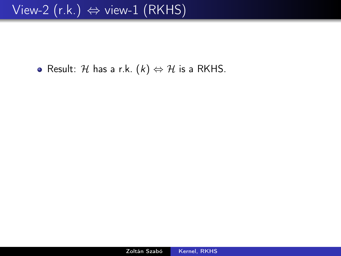• Result: H has a r.k.  $(k) \Leftrightarrow H$  is a RKHS.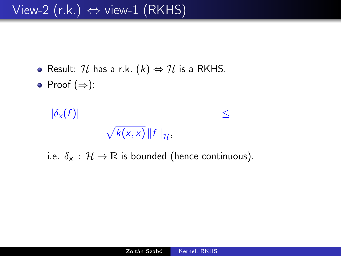- Result: H has a r.k.  $(k) \Leftrightarrow H$  is a RKHS.
- Proof  $(\Rightarrow)$ :

 $|\delta_{x}(f)|$ ≤  $\sqrt{k(x,x)}$   $\|f\|_{\mathcal{H}}$ ,

i.e.  $\delta_x : \mathcal{H} \to \mathbb{R}$  is bounded (hence continuous).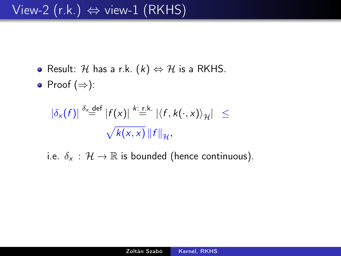- Result: H has a r.k.  $(k) \Leftrightarrow H$  is a RKHS.
- Proof  $(\Rightarrow)$ :

$$
|\delta_x(f)| \stackrel{\delta_x \text{def}}{=} |f(x)| \stackrel{k:\text{r.k.}}{=} |\langle f, k(\cdot, x) \rangle_{\mathcal{H}}| \leq
$$
  

$$
\sqrt{k(x, x)} \|f\|_{\mathcal{H}},
$$

i.e.  $\delta_x : \mathcal{H} \to \mathbb{R}$  is bounded (hence continuous).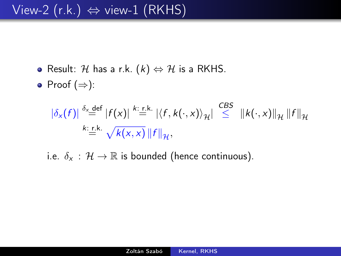- Result: H has a r.k.  $(k) \Leftrightarrow H$  is a RKHS.
- Proof  $(\Rightarrow)$ :

$$
\left|\delta_x(f)\right| \stackrel{\delta_x \text{def}}{=} \left|f(x)\right| \stackrel{k:\text{r.k.}}{=} \left|\langle f, k(\cdot, x)\rangle_{\mathcal{H}}\right| \stackrel{\text{CBS}}{\leq} \left\|k(\cdot, x)\right\|_{\mathcal{H}} \left\|f\right\|_{\mathcal{H}}
$$
  

$$
\stackrel{k:\text{r.k.}}{=} \sqrt{k(x, x)} \left\|f\right\|_{\mathcal{H}},
$$

i.e.  $\delta_x : \mathcal{H} \to \mathbb{R}$  is bounded (hence continuous).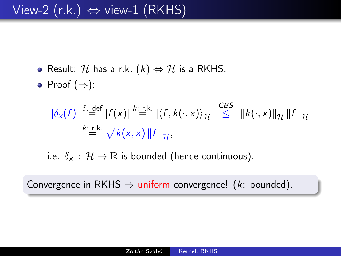- Result: H has a r.k.  $(k) \Leftrightarrow H$  is a RKHS.
- Proof  $(\Rightarrow)$ :

$$
\left|\delta_x(f)\right| \stackrel{\delta_x \text{def}}{=} \left|f(x)\right| \stackrel{k:\text{r.k.}}{=} \left|\left\langle f, k(\cdot, x)\right\rangle_{\mathcal{H}}\right| \stackrel{\text{CBS}}{\leq} \left\|k(\cdot, x)\right\|_{\mathcal{H}} \left\|f\right\|_{\mathcal{H}}
$$
  

$$
\stackrel{k:\text{r.k.}}{=} \sqrt{k(x, x)} \left\|f\right\|_{\mathcal{H}},
$$

i.e.  $\delta_x : \mathcal{H} \to \mathbb{R}$  is bounded (hence continuous).

Convergence in RKHS  $\Rightarrow$  uniform convergence! ( $k$ : bounded).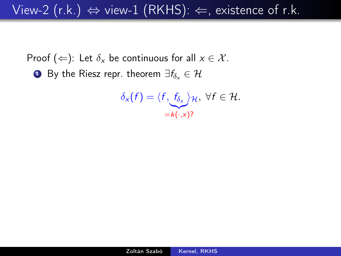View-2 (r.k.)  $\Leftrightarrow$  view-1 (RKHS):  $\Leftarrow$ , existence of r.k.

Proof ( $\Leftarrow$ ): Let  $\delta_x$  be continuous for all  $x \in \mathcal{X}$ . **■** By the Riesz repr. theorem  $\exists f_{\delta_x} \in \mathcal{H}$ 

$$
\delta_{x}(f) = \langle f, \underbrace{f_{\delta_{x}}}_{=k(\cdot,x)}\rangle_{\mathcal{H}}, \ \forall f \in \mathcal{H}.
$$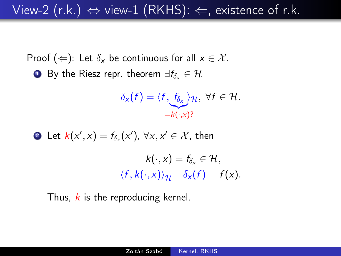## View-2 (r.k.)  $\Leftrightarrow$  view-1 (RKHS):  $\Leftarrow$ , existence of r.k.

Proof ( $\Leftarrow$ ): Let  $\delta_x$  be continuous for all  $x \in \mathcal{X}$ . **■** By the Riesz repr. theorem  $\exists f_{\delta}$ ,  $\in \mathcal{H}$ 

$$
\delta_{x}(f) = \langle f, \underbrace{f_{\delta_{x}}}_{=k(\cdot,x)}\rangle_{\mathcal{H}}, \ \forall f \in \mathcal{H}.
$$

**Q** Let 
$$
k(x', x) = f_{\delta_x}(x')
$$
,  $\forall x, x' \in \mathcal{X}$ , then

\n
$$
k(\cdot, x) = f_{\delta_x} \in \mathcal{H},
$$
\n
$$
\langle f, k(\cdot, x) \rangle_{\mathcal{H}} = \delta_x(f) = f(x).
$$

Thus,  $k$  is the reproducing kernel.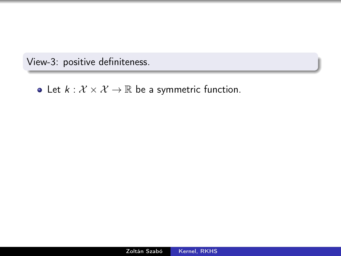View-3: positive definiteness.

• Let  $k : \mathcal{X} \times \mathcal{X} \to \mathbb{R}$  be a symmetric function.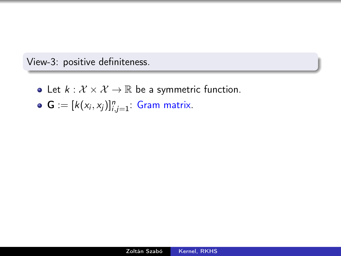View-3: positive definiteness.

- Let  $k : \mathcal{X} \times \mathcal{X} \rightarrow \mathbb{R}$  be a symmetric function.
- $\mathbf{G} := [k(x_i, x_j)]_{i,j=1}^n$ : Gram matrix.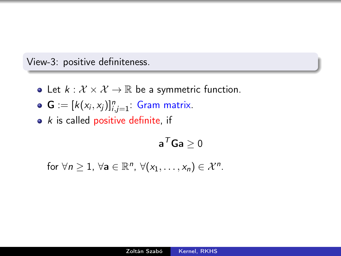View-3: positive definiteness.

- Let  $k : \mathcal{X} \times \mathcal{X} \rightarrow \mathbb{R}$  be a symmetric function.
- $\mathbf{G} := [k(x_i, x_j)]_{i,j=1}^n$ : Gram matrix.
- $\bullet$  k is called positive definite, if

$$
\mathbf{a}^T\mathbf{G}\mathbf{a}\geq 0
$$

for  $\forall n \geq 1$ ,  $\forall a \in \mathbb{R}^n$ ,  $\forall (x_1, \ldots, x_n) \in \mathcal{X}^n$ .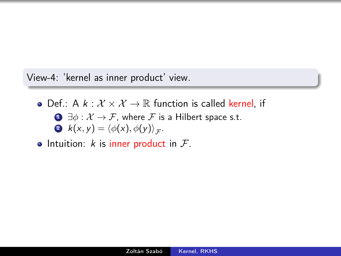View-4: 'kernel as inner product' view.

• Def.: A  $k : \mathcal{X} \times \mathcal{X} \rightarrow \mathbb{R}$  function is called kernel, if  $\bigcirc$   $\exists \phi : \mathcal{X} \to \mathcal{F}$ , where  $\mathcal F$  is a Hilbert space s.t. **2**  $k(x, y) = \langle \phi(x), \phi(y) \rangle_{\mathcal{F}}$ .

• Intuition:  $k$  is inner product in  $\mathcal{F}$ .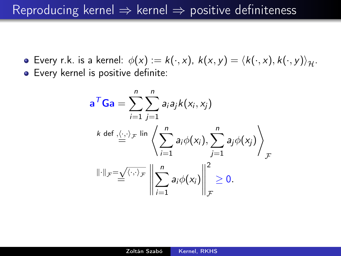Reproducing kernel  $\Rightarrow$  kernel  $\Rightarrow$  positive definiteness

**E**very r.k. is a kernel:  $\phi(x) := k(\cdot, x)$ ,  $k(x, y) = \langle k(\cdot, x), k(\cdot, y) \rangle_{\mathcal{H}}$ . **•** Every kernel is positive definite:

$$
\mathbf{a}^T \mathbf{G} \mathbf{a} = \sum_{i=1}^n \sum_{j=1}^n a_i a_j k(x_i, x_j)
$$
  
\n
$$
\left. \begin{array}{l} k \text{ def }, \langle \cdot, \cdot \rangle_{\mathcal{F}} \text{ lin } \left\langle \sum_{i=1}^n a_i \phi(x_i), \sum_{j=1}^n a_j \phi(x_j) \right\rangle_{\mathcal{F}} \\ \|\cdot\|_{\mathcal{F}} = \underline{\sqrt{\langle \cdot, \cdot \rangle_{\mathcal{F}}}} \left\| \sum_{i=1}^n a_i \phi(x_i) \right\|_{\mathcal{F}}^2 \geq 0. \end{array} \right.
$$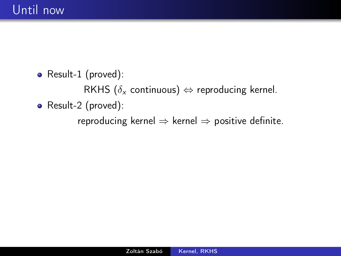• Result-1 (proved):

RKHS ( $\delta_{\mathsf{x}}$  continuous)  $\Leftrightarrow$  reproducing kernel.

• Result-2 (proved):

reproducing kernel  $\Rightarrow$  kernel  $\Rightarrow$  positive definite.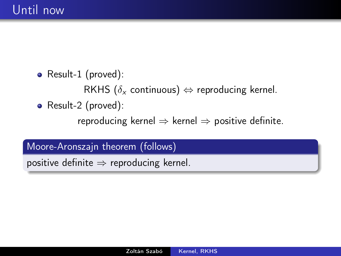• Result-1 (proved):

RKHS ( $\delta_{\mathsf{x}}$  continuous)  $\Leftrightarrow$  reproducing kernel.

• Result-2 (proved):

reproducing kernel  $\Rightarrow$  kernel  $\Rightarrow$  positive definite.

Moore-Aronszajn theorem (follows)

positive definite  $\Rightarrow$  reproducing kernel.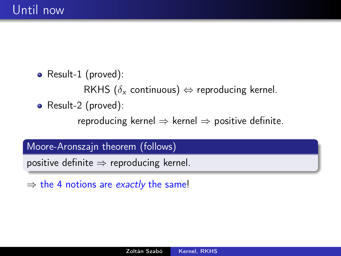• Result-1 (proved):

RKHS ( $\delta_{\mathsf{x}}$  continuous)  $\Leftrightarrow$  reproducing kernel.

• Result-2 (proved):

reproducing kernel  $\Rightarrow$  kernel  $\Rightarrow$  positive definite.

Moore-Aronszajn theorem (follows)

positive definite  $\Rightarrow$  reproducing kernel.

 $\Rightarrow$  the 4 notions are *exactly* the same!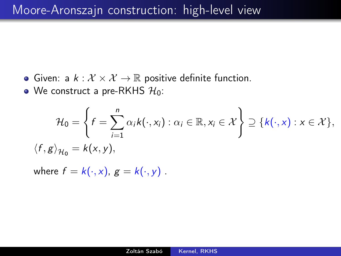- Given: a  $k : \mathcal{X} \times \mathcal{X} \rightarrow \mathbb{R}$  positive definite function.
- We construct a pre-RKHS  $H_0$ :

$$
\mathcal{H}_0 = \left\{ f = \sum_{i=1}^n \alpha_i k(\cdot, x_i) : \alpha_i \in \mathbb{R}, x_i \in \mathcal{X} \right\} \supseteq \{k(\cdot, x) : x \in \mathcal{X}\},
$$

$$
\langle f, g \rangle_{\mathcal{H}_0} = k(x, y),
$$

where  $f = k(\cdot, x)$ ,  $g = k(\cdot, y)$ .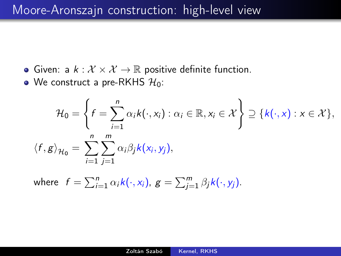- Given: a  $k : \mathcal{X} \times \mathcal{X} \rightarrow \mathbb{R}$  positive definite function.
- We construct a pre-RKHS  $\mathcal{H}_0$ :

$$
\mathcal{H}_0 = \left\{ f = \sum_{i=1}^n \alpha_i k(\cdot, x_i) : \alpha_i \in \mathbb{R}, x_i \in \mathcal{X} \right\} \supseteq \{k(\cdot, x) : x \in \mathcal{X}\},
$$

$$
\langle f, g \rangle_{\mathcal{H}_0} = \sum_{i=1}^n \sum_{j=1}^m \alpha_i \beta_j k(x_i, y_j),
$$

where 
$$
f = \sum_{i=1}^{n} \alpha_i k(\cdot, x_i)
$$
,  $g = \sum_{j=1}^{m} \beta_j k(\cdot, y_j)$ .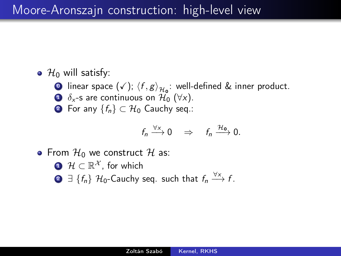### Moore-Aronszajn construction: high-level view

 $\bullet$   $\mathcal{H}_0$  will satisfy:

- **0** linear space  $(\checkmark), \langle f, g \rangle_{\mathcal{H}_0}$ : well-defined & inner product.
- $\bullet$   $\delta_{x}$ -s are continuous on  $\mathcal{H}_{0}$  ( $\forall x$ ).
- 2 For any  $\{f_n\} \subset \mathcal{H}_0$  Cauchy seq.:

$$
f_n \xrightarrow{\forall x} 0 \quad \Rightarrow \quad f_n \xrightarrow{\mathcal{H}_0} 0.
$$

- From  $\mathcal{H}_0$  we construct  $\mathcal{H}$  as:
	- $\mathbf{D} \mathcal{H} \subset \mathbb{R}^{\mathcal{X}},$  for which
	- **2**  $\exists \{f_n\}$  H<sub>0</sub>−Cauchy seq. such that  $f_n \stackrel{\forall x}{\longrightarrow} f$ .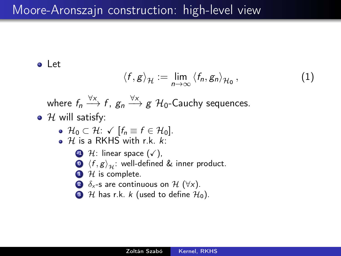Let

$$
\langle f, g \rangle_{\mathcal{H}} := \lim_{n \to \infty} \langle f_n, g_n \rangle_{\mathcal{H}_0}, \qquad (1)
$$

where  $f_n \stackrel{\forall x}{\longrightarrow} f$ ,  $g_n \stackrel{\forall x}{\longrightarrow} g$   $\mathcal{H}_0$ -Cauchy sequences.

 $\bullet$  H will satisfy:

• 
$$
\mathcal{H}_0 \subset \mathcal{H}: \sqrt{[f_n \equiv f \in \mathcal{H}_0]}
$$
.

- $\bullet$  H is a RKHS with r.k. k:
	- $\bigoplus$  H: linear space  $(\checkmark)$ ,
	- $\bigcirc$   $\langle f, g \rangle_{\mathcal{H}}$ : well-defined & inner product.
	- $\bullet$  *H* is complete.
	- 2  $\delta_{x}$ -s are continuous on H ( $\forall x$ ).
	- $\bullet$  H has r.k. k (used to define  $\mathcal{H}_0$ ).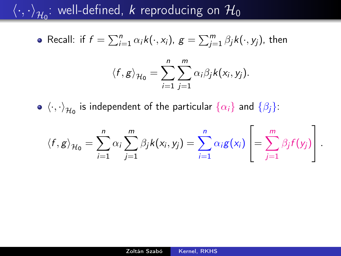$\left\langle \cdot,\cdot \right\rangle_{\mathcal{H}_0}$ : well-defined,  $k$  reproducing on  $\mathcal{H}_0$ 

• Recall: if 
$$
f = \sum_{i=1}^{n} \alpha_i k(\cdot, x_i)
$$
,  $g = \sum_{j=1}^{m} \beta_j k(\cdot, y_j)$ , then

$$
\langle f, g \rangle_{\mathcal{H}_0} = \sum_{i=1}^n \sum_{j=1}^m \alpha_i \beta_j k(x_i, y_j).
$$

 $\langle \cdot, \cdot \rangle_{\mathcal{H}_{\mathbf{0}}}$  is independent of the particular  $\{\alpha_i\}$  and  $\{\beta_j\}$ :

$$
\langle f, g \rangle_{\mathcal{H}_0} = \sum_{i=1}^n \alpha_i \sum_{j=1}^m \beta_j k(x_i, y_j) = \sum_{i=1}^n \alpha_i g(x_i) \left[ = \sum_{j=1}^m \beta_j f(y_j) \right].
$$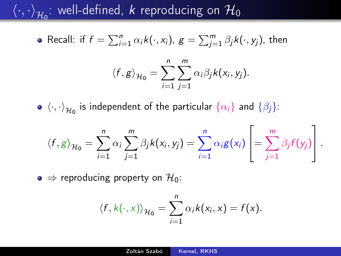# $\left\langle \cdot,\cdot \right\rangle_{\mathcal{H}_0}$ : well-defined,  $k$  reproducing on  $\mathcal{H}_0$

• Recall: if 
$$
f = \sum_{i=1}^{n} \alpha_i k(\cdot, x_i)
$$
,  $g = \sum_{j=1}^{m} \beta_j k(\cdot, y_j)$ , then

$$
\langle f, g \rangle_{\mathcal{H}_0} = \sum_{i=1}^n \sum_{j=1}^m \alpha_i \beta_j k(x_i, y_j).
$$

 $\langle \cdot, \cdot \rangle_{\mathcal{H}_{\mathbf{0}}}$  is independent of the particular  $\{\alpha_i\}$  and  $\{\beta_j\}$ :

$$
\langle f, g \rangle_{\mathcal{H}_0} = \sum_{i=1}^n \alpha_i \sum_{j=1}^m \beta_j k(x_i, y_j) = \sum_{i=1}^n \alpha_i g(x_i) \left[ = \sum_{j=1}^m \beta_j f(y_j) \right].
$$

 $\bullet \Rightarrow$  reproducing property on  $\mathcal{H}_0$ :

$$
\langle f, k(\cdot, x) \rangle_{\mathcal{H}_0} = \sum_{i=1}^n \alpha_i k(x_i, x) = f(x).
$$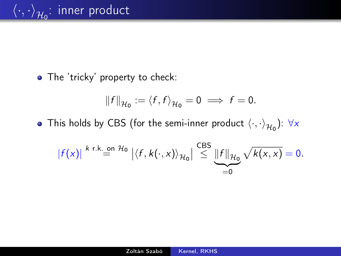• The 'tricky' property to check:

$$
||f||_{\mathcal{H}_0} := \langle f, f \rangle_{\mathcal{H}_0} = 0 \implies f = 0.
$$

This holds by CBS (for the semi-inner product  $\left\langle \cdot,\cdot \right\rangle_{\mathcal{H}_0}$ ):  $\forall x$ 

$$
|f(x)|^{k r.k._{\infty}} \stackrel{\text{on } \mathcal{H}_0}{=} \left| \langle f, k(\cdot, x) \rangle_{\mathcal{H}_0} \right| \stackrel{\text{CBS}}{\leq} \underbrace{\| f \|_{\mathcal{H}_0}}_{=0} \sqrt{k(x, x)} = 0.
$$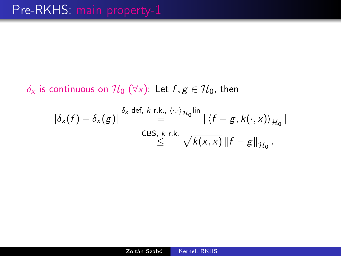$\delta_x$  is continuous on  $\mathcal{H}_0$  ( $\forall x$ ): Let  $f, g \in \mathcal{H}_0$ , then

$$
|\delta_x(f) - \delta_x(g)| \stackrel{\delta_x \text{ def, } k \text{ r.k., } \langle \cdot, \cdot \rangle_{\mathcal{H}_0} \text{lin}}{=} |\langle f - g, k(\cdot, x) \rangle_{\mathcal{H}_0}|
$$
  
CBS, k r.k.  

$$
\leq \sqrt{k(x, x)} \|f - g\|_{\mathcal{H}_0}.
$$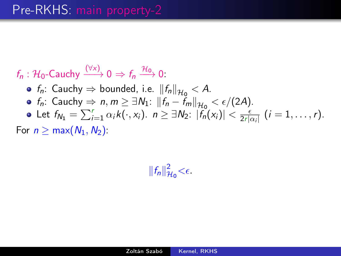$f_n : \mathcal{H}_0$ -Cauchy  $\xrightarrow{(\forall x)} 0 \Rightarrow f_n \xrightarrow{\mathcal{H}_0} 0.$ 

- $f_n$ : Cauchy  $\Rightarrow$  bounded, i.e.  $||f_n||_{\mathcal{H}_0} < A$ .
- $f_n$ : Cauchy  $\Rightarrow n, m \geq \exists N_1: ||f_n f_m||_{\mathcal{H}_0} < \epsilon/(2A)$ .
- Let  $f_{N_1} = \sum_{i=1}^r \alpha_i k(\cdot, x_i)$ .  $n \geq \exists N_2: |f_n(x_i)| < \frac{\epsilon}{2r|d}$  $\frac{\epsilon}{2r|\alpha_i|}$   $(i = 1, \ldots, r)$ .

For  $n > max(N_1, N_2)$ :

 $||f_n||_p^2$  $\frac{2}{\mu_0} < \epsilon$ .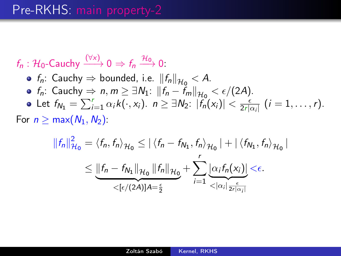$f_n : \mathcal{H}_0$ -Cauchy  $\xrightarrow{(\forall x)} 0 \Rightarrow f_n \xrightarrow{\mathcal{H}_0} 0.$ 

 $f_n$ : Cauchy  $\Rightarrow$  bounded, i.e.  $||f_n||_{\mathcal{H}_0} < A$ .  $f_n$ : Cauchy  $\Rightarrow n, m \geq \exists N_1: ||f_n - f_m||_{\mathcal{H}_0} < \epsilon/(2A)$ . Let  $f_{N_1} = \sum_{i=1}^r \alpha_i k(\cdot, x_i)$ .  $n \geq \exists N_2: |f_n(x_i)| < \frac{\epsilon}{2r|d}$  $\frac{\epsilon}{2r|\alpha_i|}$   $(i = 1, \ldots, r)$ .

For  $n \geq max(N_1, N_2)$ :

$$
||f_n||_{\mathcal{H}_0}^2 = \langle f_n, f_n \rangle_{\mathcal{H}_0} \leq ||\langle f_n - f_{N_1}, f_n \rangle_{\mathcal{H}_0}|| + ||\langle f_{N_1}, f_n \rangle_{\mathcal{H}_0}||
$$
  

$$
\leq \underbrace{||f_n - f_{N_1}||_{\mathcal{H}_0} ||f_n||_{\mathcal{H}_0}}_{\leq [\epsilon/(2A)]A = \frac{\epsilon}{2}} + \sum_{i=1}^r \underbrace{|\alpha_i f_n(x_i)|}_{\leq |\alpha_i| \frac{\epsilon}{2r|\alpha_i|}} \leq \epsilon.
$$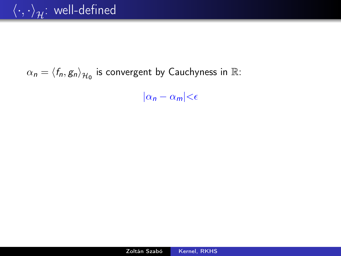# $\alpha_n = \langle f_n, g_n \rangle_{\mathcal{H}_0}$  is convergent by Cauchyness in  $\mathbb{R}$ :

 $|\alpha_n - \alpha_m| < \epsilon$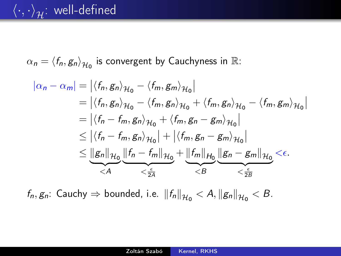# $\langle \cdot,\cdot \rangle_{\mathcal{H}}$ : well-defined

 $\alpha_n = \langle f_n, g_n \rangle_{\mathcal{H}_0}$  is convergent by Cauchyness in  $\mathbb{R}$ :

$$
|\alpha_n - \alpha_m| = |\langle f_n, g_n \rangle_{\mathcal{H}_0} - \langle f_m, g_m \rangle_{\mathcal{H}_0}|
$$
  
\n
$$
= |\langle f_n, g_n \rangle_{\mathcal{H}_0} - \langle f_m, g_n \rangle_{\mathcal{H}_0} + \langle f_m, g_n \rangle_{\mathcal{H}_0} - \langle f_m, g_m \rangle_{\mathcal{H}_0}|
$$
  
\n
$$
= |\langle f_n - f_m, g_n \rangle_{\mathcal{H}_0} + \langle f_m, g_n - g_m \rangle_{\mathcal{H}_0}|
$$
  
\n
$$
\leq |\langle f_n - f_m, g_n \rangle_{\mathcal{H}_0}| + |\langle f_m, g_n - g_m \rangle_{\mathcal{H}_0}|
$$
  
\n
$$
\leq \underbrace{\|g_n\|_{\mathcal{H}_0}}_{< A} \underbrace{\|f_n - f_m\|_{\mathcal{H}_0}}_{< \frac{\epsilon}{2A}} + \underbrace{\|f_m\|_{\mathcal{H}_0}}_{< B} \underbrace{\|g_n - g_m\|_{\mathcal{H}_0}}_{< \frac{\epsilon}{2B}} < \epsilon.
$$

 $f_n, g_n$ : Cauchy  $\Rightarrow$  bounded, i.e.  $||f_n||_{\mathcal{H}_0} < A, ||g_n||_{\mathcal{H}_0} < B$ .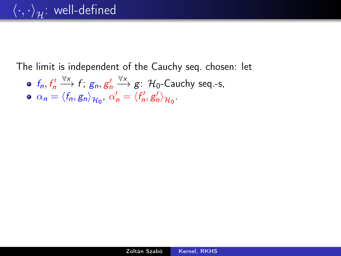# $\langle \cdot, \cdot \rangle_{\mathcal{H}}$ : well-defined

The limit is independent of the Cauchy seq. chosen: let

- $f_n, f'_n \xrightarrow{V \times} f$ ;  $g_n, g'_n \xrightarrow{V \times} g$ :  $\mathcal{H}_0$ -Cauchy seq.-s,
- $\alpha_n = \langle f_n, g_n \rangle_{\mathcal{H}_0}, \ \alpha'_n = \langle f'_n, g'_n \rangle_{\mathcal{H}_0}.$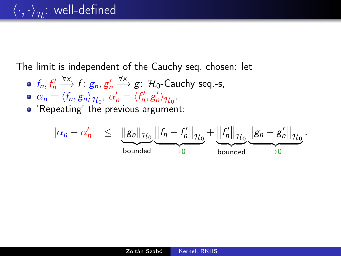### $\langle \cdot, \cdot \rangle_{\mathcal{H}}$ : well-defined

The limit is independent of the Cauchy seq. chosen: let

- $f_n, f'_n \xrightarrow{V \times} f$ ;  $g_n, g'_n \xrightarrow{V \times} g$ :  $\mathcal{H}_0$ -Cauchy seq.-s,
- $\alpha_n = \langle f_n, g_n \rangle_{\mathcal{H}_0}, \ \alpha'_n = \langle f'_n, g'_n \rangle_{\mathcal{H}_0}.$
- 'Repeating' the previous argument:

$$
|\alpha_n-\alpha'_n| \leq \underbrace{\|g_n\|_{\mathcal{H}_0}}_{\text{bounded}} \underbrace{\left\|f_n-f_n'\right\|_{\mathcal{H}_0}}_{\rightarrow 0} + \underbrace{\left\|f_n'\right\|_{\mathcal{H}_0}}_{\text{bounded}} \underbrace{\left\|g_n-g_n'\right\|_{\mathcal{H}_0}}_{\rightarrow 0}.
$$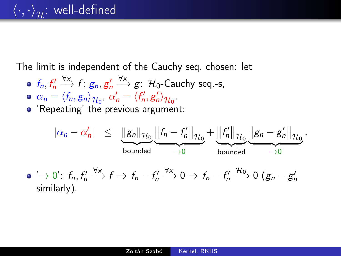### $\langle \cdot, \cdot \rangle_{\mathcal{H}}$ : well-defined

The limit is independent of the Cauchy seq. chosen: let

- $f_n, f'_n \xrightarrow{V \times} f$ ;  $g_n, g'_n \xrightarrow{V \times} g$ :  $\mathcal{H}_0$ -Cauchy seq.-s,
- $\alpha_n = \langle f_n, g_n \rangle_{\mathcal{H}_0}, \ \alpha'_n = \langle f'_n, g'_n \rangle_{\mathcal{H}_0}.$
- 'Repeating' the previous argument:

$$
\begin{array}{rcl}\n|\alpha_n-\alpha'_n| & \leq & \underbrace{\|g_n\|_{\mathcal{H}_0}}_{\text{bounded}} \underbrace{\|f_n-f'_n\|_{\mathcal{H}_0}}_{\rightarrow 0} + \underbrace{\|f'_n\|_{\mathcal{H}_0}}_{\text{bounded}} \underbrace{\|g_n-g'_n\|_{\mathcal{H}_0}}_{\rightarrow 0}.\n\end{array}
$$
\n
$$
\begin{array}{rcl}\n\bullet \quad \searrow & 0 \\
\bullet \quad \searrow & \bullet \\
\bullet \quad \searrow & \bullet \\
\bullet \quad \searrow & \bullet \\
\bullet \quad \searrow & \bullet \\
\bullet \quad \searrow & \bullet \\
\bullet \quad \searrow & \bullet \\
\bullet \quad \searrow & \bullet \\
\bullet \quad \searrow & \bullet \\
\bullet \quad \searrow & \bullet \\
\bullet \quad \searrow & \bullet \\
\bullet \quad \searrow & \bullet \\
\bullet \quad \searrow & \bullet \\
\bullet \quad \searrow & \bullet \\
\bullet \quad \searrow & \bullet \\
\bullet \quad \searrow & \bullet \\
\bullet \quad \searrow & \bullet \\
\bullet \quad \searrow & \bullet \\
\bullet \quad \searrow & \bullet \\
\bullet \quad \searrow & \bullet \\
\bullet \quad \searrow & \bullet \\
\bullet \quad \searrow & \bullet \\
\bullet \quad \searrow & \bullet \\
\bullet \quad \searrow & \bullet \\
\bullet \quad \searrow & \bullet \\
\bullet \quad \searrow & \bullet \\
\bullet \quad \searrow & \bullet \\
\bullet \quad \searrow & \bullet \\
\bullet \quad \searrow & \bullet \\
\bullet \quad \searrow & \bullet \\
\bullet \quad \searrow & \bullet \\
\bullet \quad \searrow & \bullet \\
\bullet \quad \searrow & \bullet \\
\bullet \quad \searrow & \bullet \\
\bullet \quad \searrow & \bullet \\
\bullet \quad \searrow & \bullet \\
\bullet \quad \searrow & \bullet \\
\bullet \quad \searrow & \bullet \\
\bullet \quad \searrow & \bullet \\
\bullet \quad \searrow & \bullet \\
\bullet \quad \searrow & \bullet \\
\bullet \quad \searrow & \bullet \\
\bullet \quad \searrow & \bullet \\
\bullet \quad \searrow & \bullet \\
\bullet \quad \searrow & \bullet \\
\bullet \quad \searrow & \bullet \\
\bullet \quad \searrow &
$$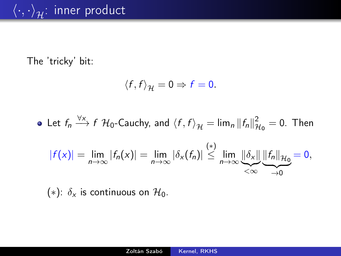#### The 'tricky' bit:

$$
\langle f, f \rangle_{\mathcal{H}} = 0 \Rightarrow f = 0.
$$

Let  $f_n \stackrel{\forall x}{\longrightarrow} f$   $\mathcal{H}_0$ -Cauchy, and  $\langle f, f \rangle_{\mathcal{H}} = \lim_n ||f_n||_p^2$  $\frac{2}{\mu_0} = 0$ . Then

$$
|f(x)| = \lim_{n \to \infty} |f_n(x)| = \lim_{n \to \infty} |\delta_x(f_n)| \stackrel{(*)}{\leq} \lim_{n \to \infty} \underbrace{\|\delta_x\|}_{\lt \infty} \underbrace{\|f_n\|_{\mathcal{H}_0}}_{\to 0} = 0,
$$

(\*):  $\delta_x$  is continuous on  $\mathcal{H}_0$ .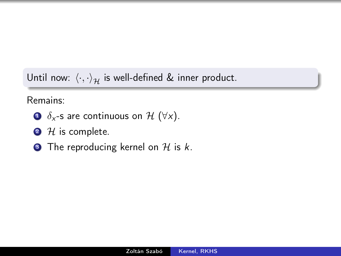Until now:  $\langle \cdot, \cdot \rangle_{\mathcal{H}}$  is well-defined & inner product.

#### Remains:

- $\bullet$   $\delta_{x}$ -s are continuous on H ( $\forall x$ ).
- $2$  H is complete.
- $\bullet$  The reproducing kernel on H is k.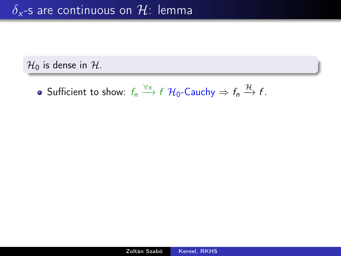### $\delta_{x}$ -s are continuous on H: lemma

 $\mathcal{H}_0$  is dense in  $\mathcal{H}$ .

Sufficient to show:  $f_n \stackrel{\forall x}{\longrightarrow} f \mathcal{H}_0$ -Cauchy  $\Rightarrow f_n \stackrel{\mathcal{H}}{\longrightarrow} f$ .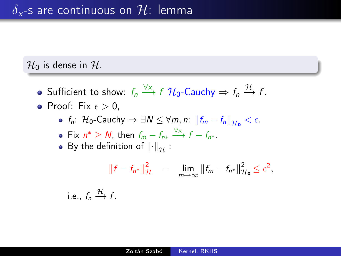#### $\mathcal{H}_0$  is dense in  $\mathcal{H}$ .

- Sufficient to show:  $f_n \stackrel{\forall x}{\longrightarrow} f \mathcal{H}_0$ -Cauchy  $\Rightarrow f_n \stackrel{\mathcal{H}}{\longrightarrow} f$ .
- $\bullet$  Proof: Fix  $\epsilon > 0$ ,
	- $f_n$ :  $\mathcal{H}_0$ -Cauchy  $\Rightarrow \exists N \leq \forall m, n: \|f_m f_n\|_{\mathcal{H}_0} < \epsilon$ .
	- Fix  $n^* \ge N$ , then  $f_{m} f_{n^*} \xrightarrow{\forall x} f f_{n^*}$ .
	- By the definition of  $\left\Vert \cdot\right\Vert _{\mathcal{H}}$ :

$$
||f - f_{n^*}||_{\mathcal{H}}^2 = \lim_{m \to \infty} ||f_m - f_{n^*}||_{\mathcal{H}_0}^2 \le \epsilon^2,
$$

i.e., 
$$
f_n \xrightarrow{\mathcal{H}} f
$$
.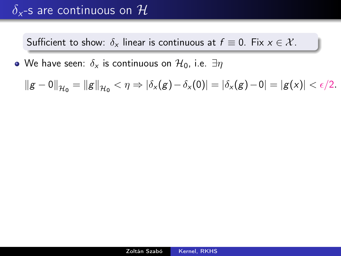### $\delta_{x}$ -s are continuous on  $\mathcal{H}$

Sufficient to show:  $\delta_x$  linear is continuous at  $f \equiv 0$ . Fix  $x \in \mathcal{X}$ .

• We have seen:  $\delta_x$  is continuous on  $\mathcal{H}_0$ , i.e.  $\exists \eta$ 

 $||g - 0||_{\mathcal{H}_0} = ||g||_{\mathcal{H}_0} < \eta \Rightarrow |\delta_x(g) - \delta_x(0)| = |\delta_x(g) - 0| = |g(x)| < \epsilon/2.$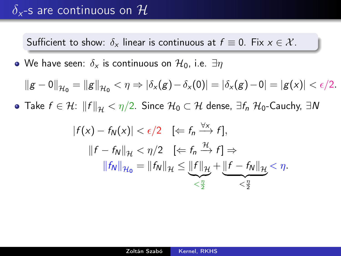### $\delta_{x}$ -s are continuous on  $\mathcal{H}$

Sufficient to show:  $\delta_x$  linear is continuous at  $f \equiv 0$ . Fix  $x \in \mathcal{X}$ .

• We have seen:  $\delta_x$  is continuous on  $\mathcal{H}_0$ , i.e.  $\exists \eta$ 

$$
\|g-0\|_{\mathcal{H}_0} = \|g\|_{\mathcal{H}_0} < \eta \Rightarrow |\delta_x(g)-\delta_x(0)| = |\delta_x(g)-0| = |g(x)| < \epsilon/2.
$$

• Take  $f \in \mathcal{H}$ :  $||f||_{\mathcal{H}} < \eta/2$ . Since  $\mathcal{H}_0 \subset \mathcal{H}$  dense,  $\exists f_n \; \mathcal{H}_0$ -Cauchy,  $\exists N$ 

$$
|f(x) - f_N(x)| < \epsilon/2 \quad \text{[} \Leftarrow f_n \xrightarrow{\forall x} f\text{]},
$$
\n
$$
||f - f_N||_{\mathcal{H}} < \eta/2 \quad \text{[} \Leftarrow f_n \xrightarrow{\mathcal{H}} f\text{]}\Rightarrow
$$
\n
$$
||f_N||_{\mathcal{H}_0} = ||f_N||_{\mathcal{H}} \le \underbrace{||f||_{\mathcal{H}}}_{\le \frac{\eta}{2}} + \underbrace{||f - f_N||_{\mathcal{H}}}_{\le \frac{\eta}{2}} < \eta.
$$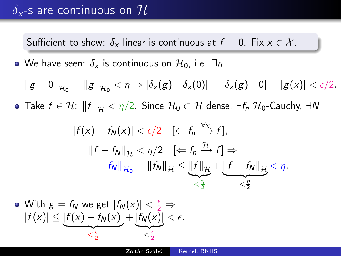### $\delta_{x}$ -s are continuous on  $\mathcal{H}$

Sufficient to show:  $\delta_x$  linear is continuous at  $f \equiv 0$ . Fix  $x \in \mathcal{X}$ .

• We have seen:  $\delta_x$  is continuous on  $\mathcal{H}_0$ , i.e.  $\exists \eta$ 

$$
\|g-0\|_{\mathcal{H}_0} = \|g\|_{\mathcal{H}_0} < \eta \Rightarrow |\delta_x(g)-\delta_x(0)| = |\delta_x(g)-0| = |g(x)| < \epsilon/2.
$$

• Take  $f \in H: \|f\|_{\mathcal{H}} < \eta/2$ . Since  $\mathcal{H}_0 \subset \mathcal{H}$  dense,  $\exists f_n \; \mathcal{H}_0$ -Cauchy,  $\exists N$ 

$$
|f(x) - f_N(x)| < \epsilon/2 \quad \left[\Leftarrow f_n \xrightarrow{\forall x} f\right],
$$
\n
$$
||f - f_N||_{\mathcal{H}} < \eta/2 \quad \left[\Leftarrow f_n \xrightarrow{\mathcal{H}} f\right] \Rightarrow
$$
\n
$$
||f_N||_{\mathcal{H}_0} = ||f_N||_{\mathcal{H}} \leq \underbrace{||f||_{\mathcal{H}}}_{< \frac{\eta}{2}} + \underbrace{||f - f_N||_{\mathcal{H}}}_{< \frac{\eta}{2}} < \eta.
$$

• With 
$$
g = f_N
$$
 we get  $|f_N(x)| < \frac{\epsilon}{2} \Rightarrow$   
 $|f(x)| \le \underbrace{|f(x) - f_N(x)|}_{\le \frac{\epsilon}{2}} + \underbrace{|f_N(x)|}_{\le \frac{\epsilon}{2}} < \epsilon.$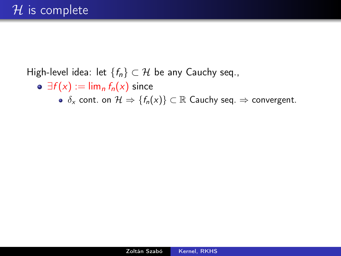#### High-level idea: let  $\{f_n\} \subset \mathcal{H}$  be any Cauchy seq.,

- $\circ \exists f(x) := \lim_{n} f_n(x)$  since
	- $\delta_x$  cont. on  $\mathcal{H} \Rightarrow \{f_n(x)\} \subset \mathbb{R}$  Cauchy seq.  $\Rightarrow$  convergent.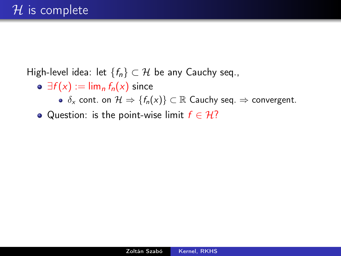High-level idea: let  $\{f_n\} \subset \mathcal{H}$  be any Cauchy seq.,

- $\circ \exists f(x) := \lim_{n} f_n(x)$  since
	- $\delta_x$  cont. on  $\mathcal{H} \Rightarrow \{f_n(x)\} \subset \mathbb{R}$  Cauchy seq.  $\Rightarrow$  convergent.
- Question: is the point-wise limit  $f \in \mathcal{H}$ ?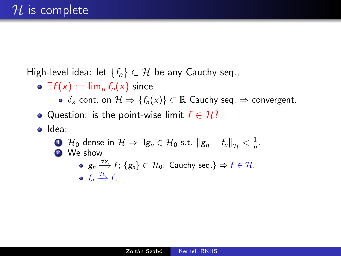High-level idea: let  ${f_n} \subset \mathcal{H}$  be any Cauchy seq.,

- $\circ \exists f(x) := \lim_{n} f_n(x)$  since
	- $\delta_x$  cont. on  $\mathcal{H} \Rightarrow \{f_n(x)\}\subset \mathbb{R}$  Cauchy seq.  $\Rightarrow$  convergent.
- Question: is the point-wise limit  $f \in \mathcal{H}$ ?
- o Idea:
	- **1**  $\mathcal{H}_0$  dense in  $\mathcal{H} \Rightarrow \exists g_n \in \mathcal{H}_0$  s.t.  $||g_n f_n||_{\mathcal{H}} < \frac{1}{n}$ . 2 We show
		- $\mathsf{g}_n \stackrel{\forall \mathsf{x}}{\longrightarrow} \mathsf{f} \colon \{\mathsf{g}_n\} \subset \mathcal{H}_0$ : Cauchy seq.}  $\Rightarrow \mathsf{f} \in \mathcal{H}.$  $f_n \xrightarrow{\mathcal{H}} f$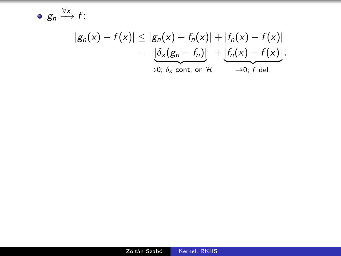$g_n \stackrel{\forall x}{\longrightarrow} f$ :

$$
|g_n(x) - f(x)| \leq |g_n(x) - f_n(x)| + |f_n(x) - f(x)|
$$
  
= 
$$
\underbrace{| \delta_x (g_n - f_n) |}_{\rightarrow 0; \delta_x \text{ cont. on } \mathcal{H}} + \underbrace{| f_n(x) - f(x) |}_{\rightarrow 0; \text{ f def.}}.
$$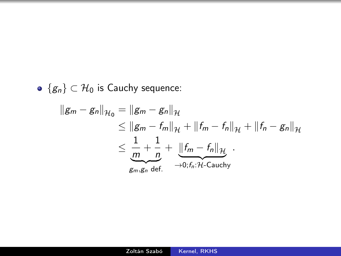•  ${g_n} \subset \mathcal{H}_0$  is Cauchy sequence:

$$
||g_m - g_n||_{\mathcal{H}_0} = ||g_m - g_n||_{\mathcal{H}}
$$
  
\n
$$
\leq ||g_m - f_m||_{\mathcal{H}} + ||f_m - f_n||_{\mathcal{H}} + ||f_n - g_n||_{\mathcal{H}}
$$
  
\n
$$
\leq \frac{1}{\underbrace{m}_{g_m, g_n} + \frac{1}{n}} + \underbrace{||f_m - f_n||_{\mathcal{H}}}_{\to 0; f_n: \mathcal{H}\text{-Cauchy}}.
$$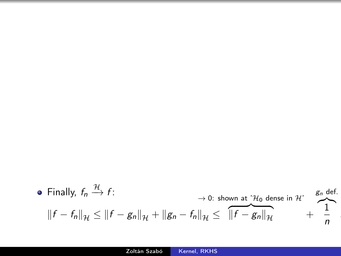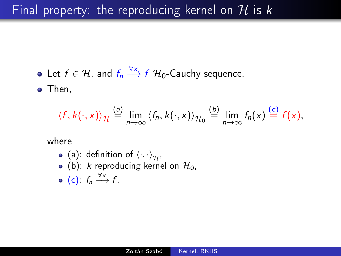### Final property: the reproducing kernel on  $H$  is k

Let  $f \in \mathcal{H}$ , and  $f_n \xrightarrow{\forall x} f \mathcal{H}_0$ -Cauchy sequence.

• Then,

$$
\langle f, k(\cdot, x) \rangle_{\mathcal{H}} \stackrel{(a)}{=} \lim_{n \to \infty} \langle f_n, k(\cdot, x) \rangle_{\mathcal{H}_0} \stackrel{(b)}{=} \lim_{n \to \infty} f_n(x) \stackrel{(c)}{=} f(x),
$$

where

- (a): definition of  $\langle \cdot, \cdot \rangle_{\mathcal{H}}$ ,
- (b): k reproducing kernel on  $\mathcal{H}_0$ ,

$$
\bullet \ \ (c): f_n \xrightarrow{\forall x} f.
$$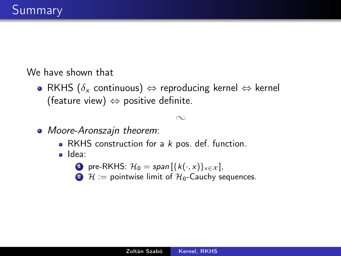We have shown that

• RKHS ( $\delta_x$  continuous)  $\Leftrightarrow$  reproducing kernel  $\Leftrightarrow$  kernel (feature view)  $\Leftrightarrow$  positive definite.

#### $\infty$

- Moore-Aronszajn theorem:
	- RKHS construction for a  $k$  pos. def. function.
	- · Idea:
		- **1** pre-RKHS:  $\mathcal{H}_0 = span\{\{k(\cdot, x)\}_{x \in \mathcal{X}}\}$
		- 2  $\mathcal{H}$  := pointwise limit of  $\mathcal{H}_0$ -Cauchy sequences.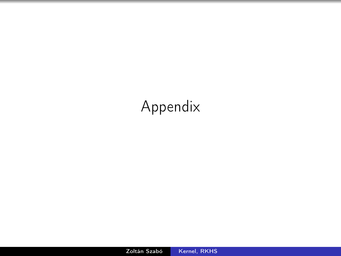## Appendix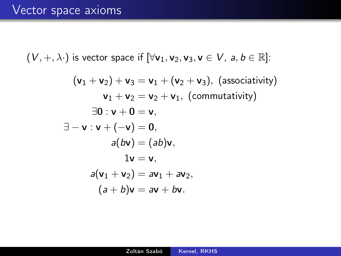$(V, +, \lambda \cdot)$  is vector space if  $[\forall v_1, v_2, v_3, v \in V, a, b \in \mathbb{R}]$ :

$$
(\mathbf{v}_1 + \mathbf{v}_2) + \mathbf{v}_3 = \mathbf{v}_1 + (\mathbf{v}_2 + \mathbf{v}_3), \text{ (associativity)}
$$
  
\n
$$
\mathbf{v}_1 + \mathbf{v}_2 = \mathbf{v}_2 + \mathbf{v}_1, \text{ (commutativity)}
$$
  
\n
$$
\exists \mathbf{0} : \mathbf{v} + \mathbf{0} = \mathbf{v},
$$
  
\n
$$
\exists -\mathbf{v} : \mathbf{v} + (-\mathbf{v}) = \mathbf{0},
$$
  
\n
$$
a(\mathbf{b}\mathbf{v}) = (ab)\mathbf{v},
$$
  
\n
$$
1\mathbf{v} = \mathbf{v},
$$
  
\n
$$
a(\mathbf{v}_1 + \mathbf{v}_2) = a\mathbf{v}_1 + a\mathbf{v}_2,
$$
  
\n
$$
(a + b)\mathbf{v} = a\mathbf{v} + b\mathbf{v}.
$$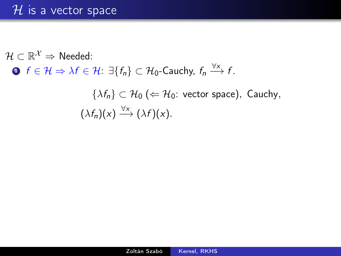$\mathcal{H} \subset \mathbb{R}^{\mathcal{X}} \Rightarrow$  Needed: **D**  $f \in \mathcal{H} \Rightarrow \lambda f \in \mathcal{H}$ :  $\exists \{f_n\} \subset \mathcal{H}_0$ -Cauchy,  $f_n \xrightarrow{\forall x} f$ .  $\{\lambda f_n\} \subset \mathcal{H}_0 \ (\Leftarrow \mathcal{H}_0: \text{ vector space}), \text{ Cauchy},$ 

 $(\lambda f_n)(x) \xrightarrow{\forall x} (\lambda f)(x).$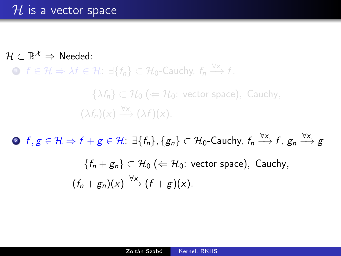$\mathcal{H} \subset \mathbb{R}^{\mathcal{X}} \Rightarrow$  Needed:

**D**  $f \in \mathcal{H} \Rightarrow \lambda f \in \mathcal{H}$ :  $\exists \{f_n\} \subset \mathcal{H}_0$ -Cauchy,  $f_n \stackrel{\forall x}{\longrightarrow} f$ .

 $\{\lambda f_n\} \subset \mathcal{H}_0 \ (\Leftarrow \mathcal{H}_0: \text{ vector space}), \text{ Cauchy},$  $(\lambda f_n)(x) \xrightarrow{\forall x} (\lambda f)(x).$ 

 $\textbf{2}$   $f,g\in\mathcal{H}\Rightarrow f+g\in\mathcal{H}$ :  $\exists\{f_n\},\{g_n\}\subset\mathcal{H}_0\text{-Cauchy},\ f_n\overset{\forall x}\longrightarrow f,\ g_n\overset{\forall x}\longrightarrow g$ 

$$
\{f_n + g_n\} \subset \mathcal{H}_0 \ (\Leftarrow \mathcal{H}_0: \text{ vector space}), \text{ Cauchy},
$$

$$
(f_n + g_n)(x) \xrightarrow{\forall x} (f + g)(x).
$$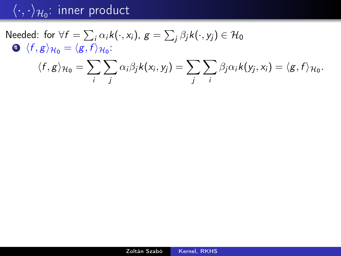Needed: for  $\forall f = \sum_{i} \alpha_i k(\cdot, x_i)$ ,  $g = \sum_{j} \beta_j k(\cdot, y_j) \in \mathcal{H}_0$  $\int \langle f, g \rangle_{\mathcal{H}_0} = \langle g, f \rangle_{\mathcal{H}_0}.$ 

$$
\langle f, g \rangle_{\mathcal{H}_0} = \sum_i \sum_j \alpha_i \beta_j k(x_i, y_j) = \sum_j \sum_i \beta_j \alpha_i k(y_j, x_i) = \langle g, f \rangle_{\mathcal{H}_0}.
$$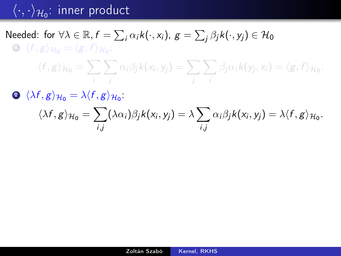### Needed: for  $\forall \lambda \in \mathbb{R}, f = \sum_i \alpha_i k(\cdot, x_i)$ ,  $g = \sum_j \beta_j k(\cdot, y_j) \in \mathcal{H}_0$  $1 \langle f, g \rangle_{\mathcal{H}_0} = \langle g, f \rangle_{\mathcal{H}_0}$ :

$$
\langle f, g \rangle_{\mathcal{H}_0} = \sum_i \sum_j \alpha_i \beta_j k(x_i, y_j) = \sum_j \sum_i \beta_j \alpha_i k(y_j, x_i) = \langle g, f \rangle_{\mathcal{H}_0}.
$$

 $2 \langle \lambda f, g \rangle_{\mathcal{H}_0} = \lambda \langle f, g \rangle_{\mathcal{H}_0}.$ 

$$
\langle \lambda f, g \rangle_{\mathcal{H}_0} = \sum_{i,j} (\lambda \alpha_i) \beta_j k(x_i, y_j) = \lambda \sum_{i,j} \alpha_i \beta_j k(x_i, y_j) = \lambda \langle f, g \rangle_{\mathcal{H}_0}.
$$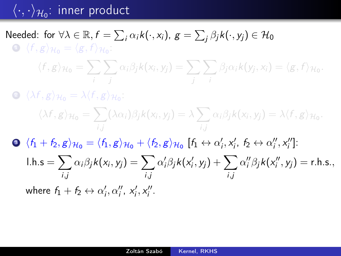### Needed: for  $\forall \lambda \in \mathbb{R}, f = \sum_i \alpha_i k(\cdot, x_i)$ ,  $g = \sum_j \beta_j k(\cdot, y_j) \in \mathcal{H}_0$  $1 \langle f, g \rangle_{\mathcal{H}_0} = \langle g, f \rangle_{\mathcal{H}_0}$ :

$$
\langle f, g \rangle_{\mathcal{H}_0} = \sum_i \sum_j \alpha_i \beta_j k(x_i, y_j) = \sum_j \sum_i \beta_j \alpha_i k(y_j, x_i) = \langle g, f \rangle_{\mathcal{H}_0}.
$$

 $2 \langle \lambda f, g \rangle_{\mathcal{H}_0} = \lambda \langle f, g \rangle_{\mathcal{H}_0}$ :

$$
\langle \lambda f, g \rangle_{\mathcal{H}_0} = \sum_{i,j} (\lambda \alpha_i) \beta_j k(x_i, y_j) = \lambda \sum_{i,j} \alpha_i \beta_j k(x_i, y_j) = \lambda \langle f, g \rangle_{\mathcal{H}_0}.
$$

3  $\langle f_1 + f_2, g \rangle_{\mathcal{H}_0} = \langle f_1, g \rangle_{\mathcal{H}_0} + \langle f_2, g \rangle_{\mathcal{H}_0}$  [ $f_1 \leftrightarrow \alpha'_i, x'_i, f_2 \leftrightarrow \alpha''_i, x''_i$ ]: l.h.s  $=$   $\sum$ i,j  $\alpha_i\beta_j k(x_i, y_j) = \sum$ i,j  $\alpha'_i\beta_j k(\mathsf{x}'_i,\mathsf{y}_j) + \sum$ i,j  $\alpha''_i \beta_j k(x''_i, y_j) = \text{r.h.s.},$ where  $f_1 + f_2 \leftrightarrow \alpha'_i, \alpha''_i, x'_i, x''_i$ .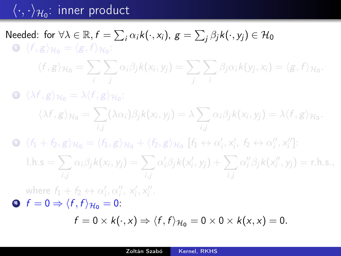### Needed: for  $\forall \lambda \in \mathbb{R}, f = \sum_i \alpha_i k(\cdot, x_i)$ ,  $g = \sum_j \beta_j k(\cdot, y_j) \in \mathcal{H}_0$  $1 \langle f, g \rangle_{\mathcal{H}_0} = \langle g, f \rangle_{\mathcal{H}_0}$ :

$$
\langle f, g \rangle_{\mathcal{H}_0} = \sum_i \sum_j \alpha_i \beta_j k(x_i, y_j) = \sum_j \sum_i \beta_j \alpha_i k(y_j, x_i) = \langle g, f \rangle_{\mathcal{H}_0}.
$$

 $2 \langle \lambda f, g \rangle_{\mathcal{H}_0} = \lambda \langle f, g \rangle_{\mathcal{H}_0}$ :

$$
\langle \lambda f, g \rangle_{\mathcal{H}_0} = \sum_{i,j} (\lambda \alpha_i) \beta_j k(x_i, y_j) = \lambda \sum_{i,j} \alpha_i \beta_j k(x_i, y_j) = \lambda \langle f, g \rangle_{\mathcal{H}_0}.
$$

3  $\langle f_1 + f_2, g \rangle_{\mathcal{H}_0} = \langle f_1, g \rangle_{\mathcal{H}_0} + \langle f_2, g \rangle_{\mathcal{H}_0}$  [ $f_1 \leftrightarrow \alpha'_i, x'_i, f_2 \leftrightarrow \alpha''_i, x''_i$ ]:

$$
l.h.s = \sum_{i,j} \alpha_i \beta_j k(x_i, y_j) = \sum_{i,j} \alpha'_i \beta_j k(x'_i, y_j) + \sum_{i,j} \alpha''_i \beta_j k(x''_i, y_j) = r.h.s.,
$$

where  $f_1 + f_2 \leftrightarrow \alpha'_i, \alpha''_i, x'_i, x''_i$ .

$$
\bullet \ \ f = 0 \Rightarrow \langle f, f \rangle_{\mathcal{H}_0} = 0.
$$

$$
f=0\times k(\cdot,x)\Rightarrow \langle f,f\rangle_{\mathcal{H}_0}=0\times 0\times k(x,x)=0.
$$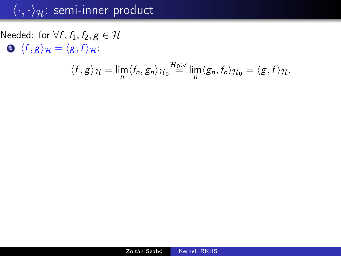Needed: for  $\forall f, f_1, f_2, g \in \mathcal{H}$  $\bigcirc$   $\langle f, g \rangle_{\mathcal{H}} = \langle g, f \rangle_{\mathcal{H}}$ :

$$
\langle f, g \rangle_{\mathcal{H}} = \lim_{n} \langle f_n, g_n \rangle_{\mathcal{H}_0} \stackrel{\mathcal{H}_0 : \mathcal{L}}{=} \lim_{n} \langle g_n, f_n \rangle_{\mathcal{H}_0} = \langle g, f \rangle_{\mathcal{H}}.
$$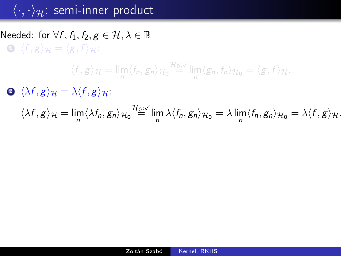Needed: for  $\forall f, f_1, f_2, g \in \mathcal{H}, \lambda \in \mathbb{R}$  $\bigodot$   $\langle f, g \rangle_{\mathcal{H}} = \langle g, f \rangle_{\mathcal{H}}$ :

$$
\langle f, g \rangle_{\mathcal{H}} = \lim_{n} \langle f_n, g_n \rangle_{\mathcal{H}_0} \stackrel{\mathcal{H}_0: \checkmark}{=} \lim_{n} \langle g_n, f_n \rangle_{\mathcal{H}_0} = \langle g, f \rangle_{\mathcal{H}}.
$$

 $\Delta f, g$ <sub>H</sub> =  $\lambda \langle f, g \rangle$ <sub>H</sub>:

$$
\langle \lambda f, g \rangle_{\mathcal{H}} = \lim_{n} \langle \lambda f_n, g_n \rangle_{\mathcal{H}_0} \stackrel{\mathcal{H}_0: \mathcal{L}}{=} \lim_{n} \lambda \langle f_n, g_n \rangle_{\mathcal{H}_0} = \lambda \lim_{n} \langle f_n, g_n \rangle_{\mathcal{H}_0} = \lambda \langle f, g \rangle_{\mathcal{H}}.
$$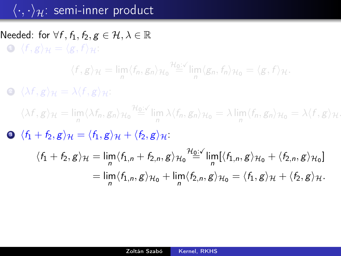Needed: for  $\forall f, f_1, f_2, g \in \mathcal{H}, \lambda \in \mathbb{R}$  $\bigodot$   $\langle f, g \rangle_{\mathcal{H}} = \langle g, f \rangle_{\mathcal{H}}$ :

$$
\langle f, g \rangle_{\mathcal{H}} = \lim_{n} \langle f_n, g_n \rangle_{\mathcal{H}_0} \stackrel{\mathcal{H}_0: \mathcal{N}}{=} \lim_{n} \langle g_n, f_n \rangle_{\mathcal{H}_0} = \langle g, f \rangle_{\mathcal{H}}.
$$

 $\bigotimes (\lambda f, g)_{\mathcal{H}} = \lambda \langle f, g \rangle_{\mathcal{H}}$ :

 $\langle \lambda f, g \rangle_{\mathcal{H}} = \lim_{n} \langle \lambda f_n, g_n \rangle_{\mathcal{H}_0} \stackrel{\mathcal{H}_0: \mathcal{N}}{=} \lim_{n} \lambda \langle f_n, g_n \rangle_{\mathcal{H}_0} = \lambda \lim_{n} \langle f_n, g_n \rangle_{\mathcal{H}_0} = \lambda \langle f, g \rangle_{\mathcal{H}}.$  $\bullet$   $\langle f_1 + f_2, g \rangle_{\mathcal{H}} = \langle f_1, g \rangle_{\mathcal{H}} + \langle f_2, g \rangle_{\mathcal{H}}$ .

$$
\langle f_1 + f_2, g \rangle_{\mathcal{H}} = \lim_n \langle f_{1,n} + f_{2,n}, g \rangle_{\mathcal{H}_0} \stackrel{\mathcal{H}_0 \cup \checkmark}{=} \lim_n [\langle f_{1,n}, g \rangle_{\mathcal{H}_0} + \langle f_{2,n}, g \rangle_{\mathcal{H}_0}]
$$
  
= 
$$
\lim_n \langle f_{1,n}, g \rangle_{\mathcal{H}_0} + \lim_n \langle f_{2,n}, g \rangle_{\mathcal{H}_0} = \langle f_1, g \rangle_{\mathcal{H}} + \langle f_2, g \rangle_{\mathcal{H}}.
$$